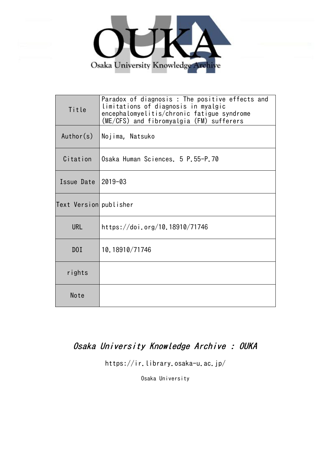

| Title                  | Paradox of diagnosis : The positive effects and<br>limitations of diagnosis in myalgic<br>encephalomyelitis/chronic fatigue syndrome<br>(ME/CFS) and fibromyalgia (FM) sufferers |
|------------------------|----------------------------------------------------------------------------------------------------------------------------------------------------------------------------------|
| Author(s)              | Nojima, Natsuko                                                                                                                                                                  |
| Citation               | Osaka Human Sciences. 5 P.55-P.70                                                                                                                                                |
| Issue Date $ 2019-03$  |                                                                                                                                                                                  |
| Text Version publisher |                                                                                                                                                                                  |
| <b>URL</b>             | https://doi.org/10.18910/71746                                                                                                                                                   |
| DOI                    | 10.18910/71746                                                                                                                                                                   |
| rights                 |                                                                                                                                                                                  |
| Note                   |                                                                                                                                                                                  |

# Osaka University Knowledge Archive : OUKA

https://ir.library.osaka-u.ac.jp/

Osaka University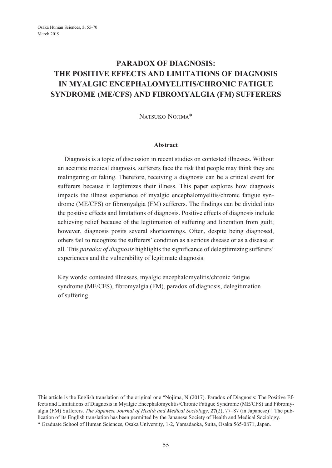# **PARADOX OF DIAGNOSIS: THE POSITIVE EFFECTS AND LIMITATIONS OF DIAGNOSIS IN MYALGIC ENCEPHALOMYELITIS/CHRONIC FATIGUE SYNDROME (ME/CFS) AND FIBROMYALGIA (FM) SUFFERERS**

Natsuko Nojima\*

#### **Abstract**

Diagnosis is a topic of discussion in recent studies on contested illnesses. Without an accurate medical diagnosis, sufferers face the risk that people may think they are malingering or faking. Therefore, receiving a diagnosis can be a critical event for sufferers because it legitimizes their illness. This paper explores how diagnosis impacts the illness experience of myalgic encephalomyelitis/chronic fatigue syndrome (ME/CFS) or fibromyalgia (FM) sufferers. The findings can be divided into the positive effects and limitations of diagnosis. Positive effects of diagnosis include achieving relief because of the legitimation of suffering and liberation from guilt; however, diagnosis posits several shortcomings. Often, despite being diagnosed, others fail to recognize the sufferers' condition as a serious disease or as a disease at all. This *paradox of diagnosis* highlights the significance of delegitimizing sufferers' experiences and the vulnerability of legitimate diagnosis.

Key words: contested illnesses, myalgic encephalomyelitis/chronic fatigue syndrome (ME/CFS), fibromyalgia (FM), paradox of diagnosis, delegitimation of suffering

This article is the English translation of the original one "Nojima, N (2017). Paradox of Diagnosis: The Positive Effects and Limitations of Diagnosis in Myalgic Encephalomyelitis/Chronic Fatigue Syndrome (ME/CFS) and Fibromyalgia (FM) Sufferers. *The Japanese Journal of Health and Medical Sociology*, **27**(2), 77–87 (in Japanese)". The publication of its English translation has been permitted by the Japanese Society of Health and Medical Sociology. \* Graduate School of Human Sciences, Osaka University, 1-2, Yamadaoka, Suita, Osaka 565-0871, Japan.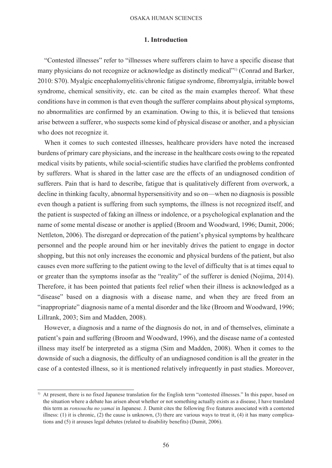#### **1. Introduction**

"Contested illnesses" refer to "illnesses where sufferers claim to have a specific disease that many physicians do not recognize or acknowledge as distinctly medical"<sup>11</sup> (Conrad and Barker, 2010: S70). Myalgic encephalomyelitis/chronic fatigue syndrome, fibromyalgia, irritable bowel syndrome, chemical sensitivity, etc. can be cited as the main examples thereof. What these conditions have in common is that even though the sufferer complains about physical symptoms, no abnormalities are confirmed by an examination. Owing to this, it is believed that tensions arise between a sufferer, who suspects some kind of physical disease or another, and a physician who does not recognize it.

When it comes to such contested illnesses, healthcare providers have noted the increased burdens of primary care physicians, and the increase in the healthcare costs owing to the repeated medical visits by patients, while social-scientific studies have clarified the problems confronted by sufferers. What is shared in the latter case are the effects of an undiagnosed condition of sufferers. Pain that is hard to describe, fatigue that is qualitatively different from overwork, a decline in thinking faculty, abnormal hypersensitivity and so on—when no diagnosis is possible even though a patient is suffering from such symptoms, the illness is not recognized itself, and the patient is suspected of faking an illness or indolence, or a psychological explanation and the name of some mental disease or another is applied (Broom and Woodward, 1996; Dumit, 2006; Nettleton, 2006). The disregard or deprecation of the patient's physical symptoms by healthcare personnel and the people around him or her inevitably drives the patient to engage in doctor shopping, but this not only increases the economic and physical burdens of the patient, but also causes even more suffering to the patient owing to the level of difficulty that is at times equal to or greater than the symptoms insofar as the "reality" of the sufferer is denied (Nojima, 2014). Therefore, it has been pointed that patients feel relief when their illness is acknowledged as a "disease" based on a diagnosis with a disease name, and when they are freed from an "inappropriate" diagnosis name of a mental disorder and the like (Broom and Woodward, 1996; Lillrank, 2003; Sim and Madden, 2008).

However, a diagnosis and a name of the diagnosis do not, in and of themselves, eliminate a patient's pain and suffering (Broom and Woodward, 1996), and the disease name of a contested illness may itself be interpreted as a stigma (Sim and Madden, 2008). When it comes to the downside of such a diagnosis, the difficulty of an undiagnosed condition is all the greater in the case of a contested illness, so it is mentioned relatively infrequently in past studies. Moreover,

<sup>1)</sup> At present, there is no fixed Japanese translation for the English term "contested illnesses." In this paper, based on the situation where a debate has arisen about whether or not something actually exists as a disease, I have translated this term as *ronsouchu no yamai* in Japanese. J. Dumit cites the following five features associated with a contested illness:  $(1)$  it is chronic,  $(2)$  the cause is unknown,  $(3)$  there are various ways to treat it,  $(4)$  it has many complications and (5) it arouses legal debates (related to disability benefits) (Dumit, 2006).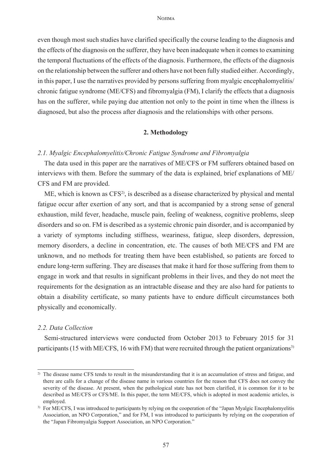#### Nojima

even though most such studies have clarified specifically the course leading to the diagnosis and the effects of the diagnosis on the sufferer, they have been inadequate when it comes to examining the temporal fluctuations of the effects of the diagnosis. Furthermore, the effects of the diagnosis on the relationship between the sufferer and others have not been fully studied either. Accordingly, in this paper, I use the narratives provided by persons suffering from myalgic encephalomyelitis/ chronic fatigue syndrome (ME/CFS) and fibromyalgia (FM), I clarify the effects that a diagnosis has on the sufferer, while paying due attention not only to the point in time when the illness is diagnosed, but also the process after diagnosis and the relationships with other persons.

### **2. Methodology**

### *2.1. Myalgic Encephalomyelitis/Chronic Fatigue Syndrome and Fibromyalgia*

The data used in this paper are the narratives of ME/CFS or FM sufferers obtained based on interviews with them. Before the summary of the data is explained, brief explanations of ME/ CFS and FM are provided.

ME, which is known as  $CFS^2$ , is described as a disease characterized by physical and mental fatigue occur after exertion of any sort, and that is accompanied by a strong sense of general exhaustion, mild fever, headache, muscle pain, feeling of weakness, cognitive problems, sleep disorders and so on. FM is described as a systemic chronic pain disorder, and is accompanied by a variety of symptoms including stiffness, weariness, fatigue, sleep disorders, depression, memory disorders, a decline in concentration, etc. The causes of both ME/CFS and FM are unknown, and no methods for treating them have been established, so patients are forced to endure long-term suffering. They are diseases that make it hard for those suffering from them to engage in work and that results in significant problems in their lives, and they do not meet the requirements for the designation as an intractable disease and they are also hard for patients to obtain a disability certificate, so many patients have to endure difficult circumstances both physically and economically.

### *2.2. Data Collection*

Semi-structured interviews were conducted from October 2013 to February 2015 for 31 participants (15 with ME/CFS, 16 with FM) that were recruited through the patient organizations<sup>3)</sup>

<sup>&</sup>lt;sup>2)</sup> The disease name CFS tends to result in the misunderstanding that it is an accumulation of stress and fatigue, and there are calls for a change of the disease name in various countries for the reason that CFS does not convey the severity of the disease. At present, when the pathological state has not been clarified, it is common for it to be described as ME/CFS or CFS/ME. In this paper, the term ME/CFS, which is adopted in most academic articles, is employed.

<sup>&</sup>lt;sup>3)</sup> For ME/CFS, I was introduced to participants by relying on the cooperation of the "Japan Myalgic Encephalomyelitis Association, an NPO Corporation," and for FM, I was introduced to participants by relying on the cooperation of the "Japan Fibromyalgia Support Association, an NPO Corporation."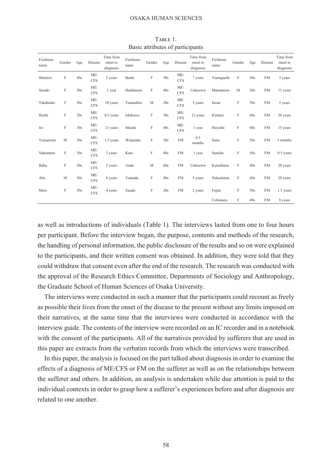| Fictitious<br>name | Gender | Age | Disease           | Time from<br>onset to<br>diagnosis | Fictitious<br>name | Gender | Age | Disease           | Time from<br>onset to<br>diagnosis | Fictitious<br>name | Gender | Age | Disease   | Time from<br>onset to<br>diagnosis |
|--------------------|--------|-----|-------------------|------------------------------------|--------------------|--------|-----|-------------------|------------------------------------|--------------------|--------|-----|-----------|------------------------------------|
| Shimizu            | F      | 40s | ME/<br><b>CFS</b> | 2 years                            | Ikeda              | F      | 50s | ME/<br><b>CFS</b> | 7 years                            | Yamaguchi          | F      | 50s | <b>FM</b> | 3 years                            |
| Suzuki             | F      | 30s | ME/<br><b>CFS</b> | 1 year                             | Hashimoto          | F      | 40s | ME/<br><b>CFS</b> | Unknown                            | Matsumoto          | M      | 30s | <b>FM</b> | 11 years                           |
| Takahashi          | F      | 50s | ME/<br><b>CFS</b> | 10 years                           | Yamashita          | M      | 20s | ME/<br><b>CFS</b> | 5 years                            | Inoue              | F      | 50s | <b>FM</b> | 5 years                            |
| Hoshi              | F      | 30s | ME/<br><b>CFS</b> | $0.5$ years                        | Ishikawa           | F      | 30s | ME/<br><b>CFS</b> | 12 years                           | Kimura             | F      | 60s | <b>FM</b> | 30 years                           |
| Ito                | F      | 30s | ME/<br><b>CFS</b> | 13 years                           | Maeda              | F      | 40s | ME/<br><b>CFS</b> | 1 year                             | Hayashi            | F      | 40s | <b>FM</b> | 15 years                           |
| Yamamoto           | M      | 30s | ME/<br><b>CFS</b> | 1.5 years                          | Watanabe           | F      | 30s | <b>FM</b>         | 0.5<br>months                      | Saito              | F      | 50s | <b>FM</b> | 3 months                           |
| Nakamura           | F      | 30s | ME/<br><b>CFS</b> | 3 years                            | Kato               | F      | 40s | <b>FM</b>         | 1 year                             | Sumida             | F      | 50s | <b>FM</b> | $0.5$ years                        |
| Baba               | F      | 30s | ME/<br><b>CFS</b> | 2 years                            | Ando               | M      | 60s | <b>FM</b>         | Unknown                            | Kurashima          | F      | 40s | <b>FM</b> | 20 years                           |
| Abe                | M      | 50s | ME/<br><b>CFS</b> | 8 years                            | Yamada             | F      | 40s | <b>FM</b>         | 5 years                            | Nakashima          | F      | 40s | <b>FM</b> | 20 years                           |
| Mori               | F      | 30s | ME/<br><b>CFS</b> | 4 years                            | Sasaki             | F      | 20s | <b>FM</b>         | 2 years                            | Fujita             | F      | 50s | <b>FM</b> | 1.5 years                          |
|                    |        |     |                   |                                    |                    |        |     |                   |                                    | Uchimura           | F      | 40s | <b>FM</b> | 8 years                            |

TABLE 1. Basic attributes of participants

as well as introductions of individuals (Table 1). The interviews lasted from one to four hours per participant. Before the interview began, the purpose, contents and methods of the research, the handling of personal information, the public disclosure of the results and so on were explained to the participants, and their written consent was obtained. In addition, they were told that they could withdraw that consent even after the end of the research. The research was conducted with the approval of the Research Ethics Committee, Departments of Sociology and Anthropology, the Graduate School of Human Sciences of Osaka University.

The interviews were conducted in such a manner that the participants could recount as freely as possible their lives from the onset of the disease to the present without any limits imposed on their narratives, at the same time that the interviews were conducted in accordance with the interview guide. The contents of the interview were recorded on an IC recorder and in a notebook with the consent of the participants. All of the narratives provided by sufferers that are used in this paper are extracts from the verbatim records from which the interviews were transcribed.

In this paper, the analysis is focused on the part talked about diagnosis in order to examine the effects of a diagnosis of ME/CFS or FM on the sufferer as well as on the relationships between the sufferer and others. In addition, an analysis is undertaken while due attention is paid to the individual contexts in order to grasp how a sufferer's experiences before and after diagnosis are related to one another.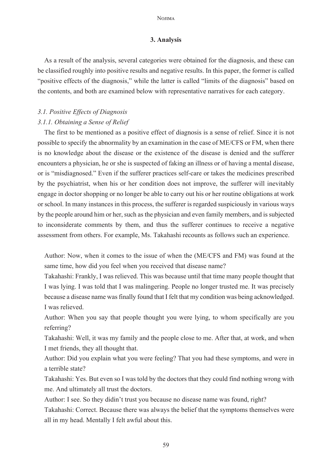#### **No**<sub>IMA</sub>

### **3. Analysis**

As a result of the analysis, several categories were obtained for the diagnosis, and these can be classified roughly into positive results and negative results. In this paper, the former is called "positive effects of the diagnosis," while the latter is called "limits of the diagnosis" based on the contents, and both are examined below with representative narratives for each category.

### *3.1. Positive Effects of Diagnosis*

### *3.1.1. Obtaining a Sense of Relief*

The first to be mentioned as a positive effect of diagnosis is a sense of relief. Since it is not possible to specify the abnormality by an examination in the case of ME/CFS or FM, when there is no knowledge about the disease or the existence of the disease is denied and the sufferer encounters a physician, he or she is suspected of faking an illness or of having a mental disease, or is "misdiagnosed." Even if the sufferer practices self-care or takes the medicines prescribed by the psychiatrist, when his or her condition does not improve, the sufferer will inevitably engage in doctor shopping or no longer be able to carry out his or her routine obligations at work or school. In many instances in this process, the sufferer is regarded suspiciously in various ways by the people around him or her, such as the physician and even family members, and is subjected to inconsiderate comments by them, and thus the sufferer continues to receive a negative assessment from others. For example, Ms. Takahashi recounts as follows such an experience.

Author: Now, when it comes to the issue of when the (ME/CFS and FM) was found at the same time, how did you feel when you received that disease name?

Takahashi: Frankly, I was relieved. This was because until that time many people thought that I was lying. I was told that I was malingering. People no longer trusted me. It was precisely because a disease name was finally found that I felt that my condition was being acknowledged. I was relieved.

Author: When you say that people thought you were lying, to whom specifically are you referring?

Takahashi: Well, it was my family and the people close to me. After that, at work, and when I met friends, they all thought that.

Author: Did you explain what you were feeling? That you had these symptoms, and were in a terrible state?

Takahashi: Yes. But even so I was told by the doctors that they could find nothing wrong with me. And ultimately all trust the doctors.

Author: I see. So they didin't trust you because no disease name was found, right?

Takahashi: Correct. Because there was always the belief that the symptoms themselves were all in my head. Mentally I felt awful about this.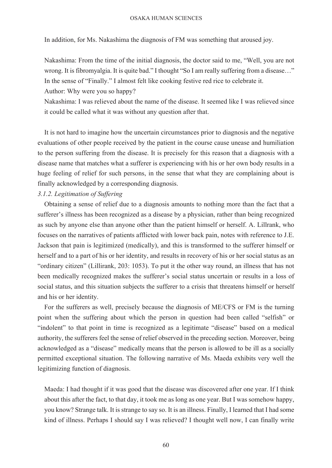In addition, for Ms. Nakashima the diagnosis of FM was something that aroused joy.

Nakashima: From the time of the initial diagnosis, the doctor said to me, "Well, you are not wrong. It is fibromyalgia. It is quite bad." I thought "So I am really suffering from a disease…" In the sense of "Finally." I almost felt like cooking festive red rice to celebrate it.

Author: Why were you so happy?

Nakashima: I was relieved about the name of the disease. It seemed like I was relieved since it could be called what it was without any question after that.

It is not hard to imagine how the uncertain circumstances prior to diagnosis and the negative evaluations of other people received by the patient in the course cause unease and humiliation to the person suffering from the disease. It is precisely for this reason that a diagnosis with a disease name that matches what a sufferer is experiencing with his or her own body results in a huge feeling of relief for such persons, in the sense that what they are complaining about is finally acknowledged by a corresponding diagnosis.

### *3.1.2. Legitimation of Suffering*

Obtaining a sense of relief due to a diagnosis amounts to nothing more than the fact that a sufferer's illness has been recognized as a disease by a physician, rather than being recognized as such by anyone else than anyone other than the patient himself or herself. A. Lillrank, who focuses on the narratives of patients afflicted with lower back pain, notes with reference to J.E. Jackson that pain is legitimized (medically), and this is transformed to the sufferer himself or herself and to a part of his or her identity, and results in recovery of his or her social status as an "ordinary citizen" (Lillirank, 203: 1053). To put it the other way round, an illness that has not been medically recognized makes the sufferer's social status uncertain or results in a loss of social status, and this situation subjects the sufferer to a crisis that threatens himself or herself and his or her identity.

For the sufferers as well, precisely because the diagnosis of ME/CFS or FM is the turning point when the suffering about which the person in question had been called "selfish" or "indolent" to that point in time is recognized as a legitimate "disease" based on a medical authority, the sufferers feel the sense of relief observed in the preceding section. Moreover, being acknowledged as a "disease" medically means that the person is allowed to be ill as a socially permitted exceptional situation. The following narrative of Ms. Maeda exhibits very well the legitimizing function of diagnosis.

Maeda: I had thought if it was good that the disease was discovered after one year. If I think about this after the fact, to that day, it took me as long as one year. But I was somehow happy, you know? Strange talk. It is strange to say so. It is an illness. Finally, I learned that I had some kind of illness. Perhaps I should say I was relieved? I thought well now, I can finally write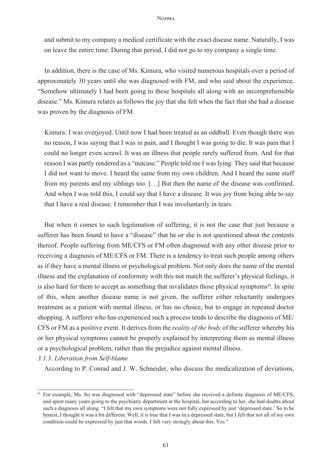#### Nojima

and submit to my company a medical certificate with the exact disease name. Naturally, I was on leave the entire time. During that period, I did not go to my company a single time.

In addition, there is the case of Ms. Kimura, who visited numerous hospitals over a period of approximately 30 years until she was diagnosed with FM, and who said about the experience, "Somehow ultimately I had been going to these hospitals all along with an incomprehensible disease." Ms. Kimura relates as follows the joy that she felt when the fact that she had a disease was proven by the diagnosis of FM.

Kimura: I was overjoyed. Until now I had been treated as an oddball. Even though there was no reason, I was saying that I was in pain, and I thought I was going to die. It was pain that I could no longer even scrawl. It was an illness that people rarely suffered from. And for that reason I was partly rendered as a "nutcase." People told me I was lying. They said that because I did not want to move. I heard the same from my own children. And I heard the same stuff from my parents and my siblings too. […] But then the name of the disease was confirmed. And when I was told this, I could say that I have a disease. It was joy from being able to say that I have a real disease. I remember that I was involuntarily in tears.

But when it comes to such legitimation of suffering, it is not the case that just because a sufferer has been found to have a "disease" that he or she is not questioned about the contents thereof. People suffering from ME/CFS or FM often diagnosed with any other disease prior to receiving a diagnosis of ME/CFS or FM. There is a tendency to treat such people among others as if they have a mental illness or psychological problem. Not only does the name of the mental illness and the explanation of conformity with this not match the sufferer's physical feelings, it is also hard for them to accept as something that invalidates those physical symptoms<sup>4</sup>. In spite of this, when another disease name is not given, the sufferer either reluctantly undergoes treatment as a patient with mental illness, or has no choice, but to engage in repeated doctor shopping. A sufferer who has experienced such a process tends to describe the diagnosis of ME/ CFS or FM as a positive event. It derives from the *reality of the body* of the sufferer whereby his or her physical symptoms cannot be properly explained by interpreting them as mental illness or a psychological problem, rather than the prejudice against mental illness.

### *3.1.3. Liberation from Self-blame*

According to P. Conrad and J. W. Schneider, who discuss the medicalization of deviations,

<sup>4)</sup> For example, Ms. Ito was diagnosed with "depressed state" before she received a definite diagnosis of ME/CFS, and spent many years going to the psychiatry department at the hospital, but according to her, she had doubts about such a diagnosis all along. "I felt that my own symptoms were not fully expressed by just 'depressed state.' So to be honest, I thought it was a bit different. Well, it is true that I was in a depressed state, but I felt that not all of my own condition could be expressed by just that words. I felt very strongly about this. Yes."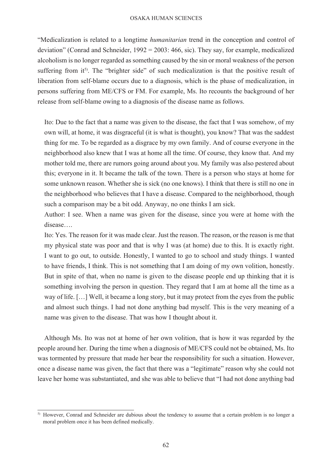"Medicalization is related to a longtime *humanitarian* trend in the conception and control of deviation" (Conrad and Schneider, 1992 = 2003: 466, sic). They say, for example, medicalized alcoholism is no longer regarded as something caused by the sin or moral weakness of the person suffering from it<sup>5)</sup>. The "brighter side" of such medicalization is that the positive result of liberation from self-blame occurs due to a diagnosis, which is the phase of medicalization, in persons suffering from ME/CFS or FM. For example, Ms. Ito recounts the background of her release from self-blame owing to a diagnosis of the disease name as follows.

Ito: Due to the fact that a name was given to the disease, the fact that I was somehow, of my own will, at home, it was disgraceful (it is what is thought), you know? That was the saddest thing for me. To be regarded as a disgrace by my own family. And of course everyone in the neighborhood also knew that I was at home all the time. Of course, they know that. And my mother told me, there are rumors going around about you. My family was also pestered about this; everyone in it. It became the talk of the town. There is a person who stays at home for some unknown reason. Whether she is sick (no one knows). I think that there is still no one in the neighborhood who believes that I have a disease. Compared to the neighborhood, though such a comparison may be a bit odd. Anyway, no one thinks I am sick.

Author: I see. When a name was given for the disease, since you were at home with the disease….

Ito: Yes. The reason for it was made clear. Just the reason. The reason, or the reason is me that my physical state was poor and that is why I was (at home) due to this. It is exactly right. I want to go out, to outside. Honestly, I wanted to go to school and study things. I wanted to have friends, I think. This is not something that I am doing of my own volition, honestly. But in spite of that, when no name is given to the disease people end up thinking that it is something involving the person in question. They regard that I am at home all the time as a way of life. […] Well, it became a long story, but it may protect from the eyes from the public and almost such things. I had not done anything bad myself. This is the very meaning of a name was given to the disease. That was how I thought about it.

Although Ms. Ito was not at home of her own volition, that is how it was regarded by the people around her. During the time when a diagnosis of ME/CFS could not be obtained, Ms. Ito was tormented by pressure that made her bear the responsibility for such a situation. However, once a disease name was given, the fact that there was a "legitimate" reason why she could not leave her home was substantiated, and she was able to believe that "I had not done anything bad

<sup>5)</sup> However, Conrad and Schneider are dubious about the tendency to assume that a certain problem is no longer a moral problem once it has been defined medically.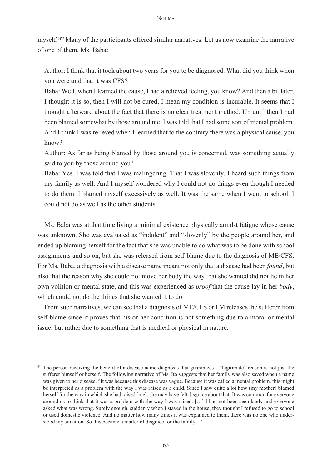#### Nojima

myself.6) " Many of the participants offered similar narratives. Let us now examine the narrative of one of them, Ms. Baba:

Author: I think that it took about two years for you to be diagnosed. What did you think when you were told that it was CFS?

Baba: Well, when I learned the cause, I had a relieved feeling, you know? And then a bit later, I thought it is so, then I will not be cured, I mean my condition is incurable. It seems that I thought afterward about the fact that there is no clear treatment method. Up until then I had been blamed somewhat by those around me. I was told that I had some sort of mental problem. And I think I was relieved when I learned that to the contrary there was a physical cause, you know?

Author: As far as being blamed by those around you is concerned, was something actually said to you by those around you?

Baba: Yes. I was told that I was malingering. That I was slovenly. I heard such things from my family as well. And I myself wondered why I could not do things even though I needed to do them. I blamed myself excessively as well. It was the same when I went to school. I could not do as well as the other students.

Ms. Baba was at that time living a minimal existence physically amidst fatigue whose cause was unknown. She was evaluated as "indolent" and "slovenly" by the people around her, and ended up blaming herself for the fact that she was unable to do what was to be done with school assignments and so on, but she was released from self-blame due to the diagnosis of ME/CFS. For Ms. Baba, a diagnosis with a disease name meant not only that a disease had been *found*, but also that the reason why she could not move her body the way that she wanted did not lie in her own volition or mental state, and this was experienced as *proof* that the cause lay in her *body*, which could not do the things that she wanted it to do.

From such narratives, we can see that a diagnosis of ME/CFS or FM releases the sufferer from self-blame since it proves that his or her condition is not something due to a moral or mental issue, but rather due to something that is medical or physical in nature.

<sup>&</sup>lt;sup>6)</sup> The person receiving the benefit of a disease name diagnosis that guarantees a "legitimate" reason is not just the sufferer himself or herself. The following narrative of Ms. Ito suggests that her family was also saved when a name was given to her disease. "It was because this disease was vague. Because it was called a mental problem, this might be interpreted as a problem with the way I was raised as a child. Since I saw quite a lot how (my mother) blamed herself for the way in which she had raised [me], she may have felt disgrace about that. It was common for everyone around us to think that it was a problem with the way I was raised. […] I had not been seen lately and everyone asked what was wrong. Surely enough, suddenly when I stayed in the house, they thought I refused to go to school or used domestic violence. And no matter how many times it was explained to them, there was no one who understood my situation. So this became a matter of disgrace for the family…"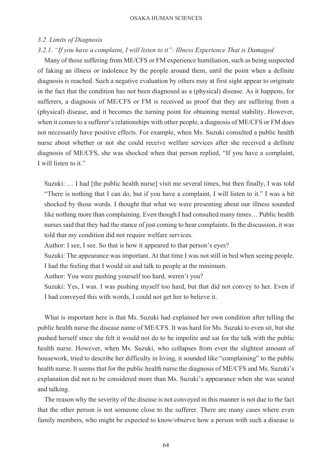### *3.2. Limits of Diagnosis*

#### *3.2.1. "If you have a complaint, I will listen to it": Illness Experience That is Damaged*

Many of those suffering from ME/CFS or FM experience humiliation, such as being suspected of faking an illness or indolence by the people around them, until the point when a definite diagnosis is reached. Such a negative evaluation by others may at first sight appear to originate in the fact that the condition has not been diagnosed as a (physical) disease. As it happens, for sufferers, a diagnosis of ME/CFS or FM is received as proof that they are suffering from a (physical) disease, and it becomes the turning point for obtaining mental stability. However, when it comes to a sufferer's relationships with other people, a diagnosis of ME/CFS or FM does not necessarily have positive effects. For example, when Ms. Suzuki consulted a public health nurse about whether or not she could receive welfare services after she received a definite diagnosis of ME/CFS, she was shocked when that person replied, "If you have a complaint, I will listen to it."

Suzuki: … I had [the public health nurse] visit me several times, but then finally, I was told "There is nothing that I can do, but if you have a complaint, I will listen to it." I was a bit shocked by those words. I thought that what we were presenting about our illness sounded like nothing more than complaining. Even though I had consulted many times… Public health nurses said that they had the stance of just coming to hear complaints. In the discussion, it was told that my condition did not require welfare services.

Author: I see, I see. So that is how it appeared to that person's eyes?

Suzuki: The appearance was important. At that time I was not still in bed when seeing people. I had the feeling that I would sit and talk to people at the minimum.

Author: You were pushing yourself too hard, weren't you?

Suzuki: Yes, I was. I was pushing myself too hard, but that did not convey to her. Even if I had conveyed this with words, I could not get her to believe it.

What is important here is that Ms. Suzuki had explained her own condition after telling the public health nurse the disease name of ME/CFS. It was hard for Ms. Suzuki to even sit, but she pushed herself since she felt it would not do to be impolite and sat for the talk with the public health nurse. However, when Ms. Suzuki, who collapses from even the slightest amount of housework, tried to describe her difficulty in living, it sounded like "complaining" to the public health nurse. It seems that for the public health nurse the diagnosis of ME/CFS and Ms. Suzuki's explanation did not to be considered more than Ms. Suzuki's appearance when she was seated and talking.

The reason why the severity of the disease is not conveyed in this manner is not due to the fact that the other person is not someone close to the sufferer. There are many cases where even family members, who might be expected to know/observe how a person with such a disease is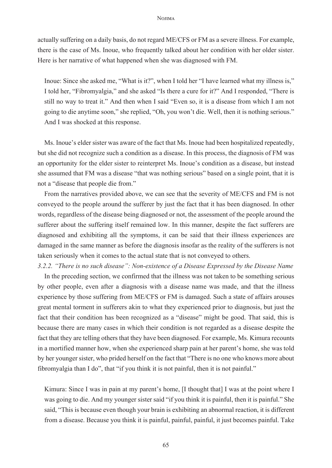#### **No**<sub>IMA</sub>

actually suffering on a daily basis, do not regard ME/CFS or FM as a severe illness. For example, there is the case of Ms. Inoue, who frequently talked about her condition with her older sister. Here is her narrative of what happened when she was diagnosed with FM.

Inoue: Since she asked me, "What is it?", when I told her "I have learned what my illness is," I told her, "Fibromyalgia," and she asked "Is there a cure for it?" And I responded, "There is still no way to treat it." And then when I said "Even so, it is a disease from which I am not going to die anytime soon," she replied, "Oh, you won't die. Well, then it is nothing serious." And I was shocked at this response.

Ms. Inoue's elder sister was aware of the fact that Ms. Inoue had been hospitalized repeatedly, but she did not recognize such a condition as a disease. In this process, the diagnosis of FM was an opportunity for the elder sister to reinterpret Ms. Inoue's condition as a disease, but instead she assumed that FM was a disease "that was nothing serious" based on a single point, that it is not a "disease that people die from."

From the narratives provided above, we can see that the severity of ME/CFS and FM is not conveyed to the people around the sufferer by just the fact that it has been diagnosed. In other words, regardless of the disease being diagnosed or not, the assessment of the people around the sufferer about the suffering itself remained low. In this manner, despite the fact sufferers are diagnosed and exhibiting all the symptoms, it can be said that their illness experiences are damaged in the same manner as before the diagnosis insofar as the reality of the sufferers is not taken seriously when it comes to the actual state that is not conveyed to others.

*3.2.2. "There is no such disease": Non-existence of a Disease Expressed by the Disease Name* In the preceding section, we confirmed that the illness was not taken to be something serious by other people, even after a diagnosis with a disease name was made, and that the illness experience by those suffering from ME/CFS or FM is damaged. Such a state of affairs arouses great mental torment in sufferers akin to what they experienced prior to diagnosis, but just the fact that their condition has been recognized as a "disease" might be good. That said, this is because there are many cases in which their condition is not regarded as a disease despite the fact that they are telling others that they have been diagnosed. For example, Ms. Kimura recounts in a mortified manner how, when she experienced sharp pain at her parent's home, she was told by her younger sister, who prided herself on the fact that "There is no one who knows more about fibromyalgia than I do", that "if you think it is not painful, then it is not painful."

Kimura: Since I was in pain at my parent's home, [I thought that] I was at the point where I was going to die. And my younger sister said "if you think it is painful, then it is painful." She said, "This is because even though your brain is exhibiting an abnormal reaction, it is different from a disease. Because you think it is painful, painful, painful, it just becomes painful. Take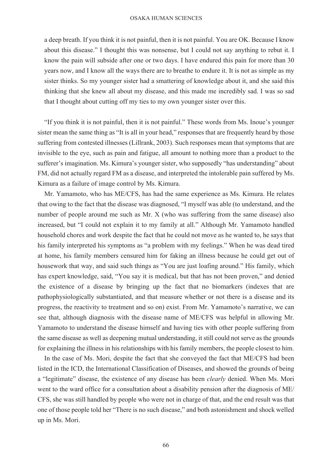a deep breath. If you think it is not painful, then it is not painful. You are OK. Because I know about this disease." I thought this was nonsense, but I could not say anything to rebut it. I know the pain will subside after one or two days. I have endured this pain for more than 30 years now, and I know all the ways there are to breathe to endure it. It is not as simple as my sister thinks. So my younger sister had a smattering of knowledge about it, and she said this thinking that she knew all about my disease, and this made me incredibly sad. I was so sad that I thought about cutting off my ties to my own younger sister over this.

"If you think it is not painful, then it is not painful." These words from Ms. Inoue's younger sister mean the same thing as "It is all in your head," responses that are frequently heard by those suffering from contested illnesses (Lillrank, 2003). Such responses mean that symptoms that are invisible to the eye, such as pain and fatigue, all amount to nothing more than a product to the sufferer's imagination. Ms. Kimura's younger sister, who supposedly "has understanding" about FM, did not actually regard FM as a disease, and interpreted the intolerable pain suffered by Ms. Kimura as a failure of image control by Ms. Kimura.

Mr. Yamamoto, who has ME/CFS, has had the same experience as Ms. Kimura. He relates that owing to the fact that the disease was diagnosed, "I myself was able (to understand, and the number of people around me such as Mr. X (who was suffering from the same disease) also increased, but "I could not explain it to my family at all." Although Mr. Yamamoto handled household chores and work despite the fact that he could not move as he wanted to, he says that his family interpreted his symptoms as "a problem with my feelings." When he was dead tired at home, his family members censured him for faking an illness because he could get out of housework that way, and said such things as "You are just loafing around." His family, which has expert knowledge, said, "You say it is medical, but that has not been proven," and denied the existence of a disease by bringing up the fact that no biomarkers (indexes that are pathophysiologically substantiated, and that measure whether or not there is a disease and its progress, the reactivity to treatment and so on) exist. From Mr. Yamamoto's narrative, we can see that, although diagnosis with the disease name of ME/CFS was helpful in allowing Mr. Yamamoto to understand the disease himself and having ties with other people suffering from the same disease as well as deepening mutual understanding, it still could not serve as the grounds for explaining the illness in his relationships with his family members, the people closest to him.

In the case of Ms. Mori, despite the fact that she conveyed the fact that ME/CFS had been listed in the ICD, the International Classification of Diseases, and showed the grounds of being a "legitimate" disease, the existence of any disease has been *clearly* denied. When Ms. Mori went to the ward office for a consultation about a disability pension after the diagnosis of ME/ CFS, she was still handled by people who were not in charge of that, and the end result was that one of those people told her "There is no such disease," and both astonishment and shock welled up in Ms. Mori.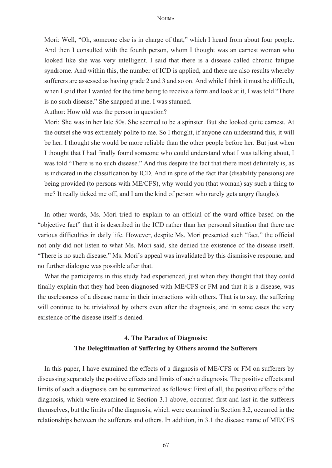Mori: Well, "Oh, someone else is in charge of that," which I heard from about four people. And then I consulted with the fourth person, whom I thought was an earnest woman who looked like she was very intelligent. I said that there is a disease called chronic fatigue syndrome. And within this, the number of ICD is applied, and there are also results whereby sufferers are assessed as having grade 2 and 3 and so on. And while I think it must be difficult, when I said that I wanted for the time being to receive a form and look at it, I was told "There is no such disease." She snapped at me. I was stunned.

Author: How old was the person in question?

Mori: She was in her late 50s. She seemed to be a spinster. But she looked quite earnest. At the outset she was extremely polite to me. So I thought, if anyone can understand this, it will be her. I thought she would be more reliable than the other people before her. But just when I thought that I had finally found someone who could understand what I was talking about, I was told "There is no such disease." And this despite the fact that there most definitely is, as is indicated in the classification by ICD. And in spite of the fact that (disability pensions) are being provided (to persons with ME/CFS), why would you (that woman) say such a thing to me? It really ticked me off, and I am the kind of person who rarely gets angry (laughs).

In other words, Ms. Mori tried to explain to an official of the ward office based on the "objective fact" that it is described in the ICD rather than her personal situation that there are various difficulties in daily life. However, despite Ms. Mori presented such "fact," the official not only did not listen to what Ms. Mori said, she denied the existence of the disease itself. "There is no such disease." Ms. Mori's appeal was invalidated by this dismissive response, and no further dialogue was possible after that.

What the participants in this study had experienced, just when they thought that they could finally explain that they had been diagnosed with ME/CFS or FM and that it is a disease, was the uselessness of a disease name in their interactions with others. That is to say, the suffering will continue to be trivialized by others even after the diagnosis, and in some cases the very existence of the disease itself is denied.

## **4. The Paradox of Diagnosis: The Delegitimation of Suffering by Others around the Sufferers**

In this paper, I have examined the effects of a diagnosis of ME/CFS or FM on sufferers by discussing separately the positive effects and limits of such a diagnosis. The positive effects and limits of such a diagnosis can be summarized as follows: First of all, the positive effects of the diagnosis, which were examined in Section 3.1 above, occurred first and last in the sufferers themselves, but the limits of the diagnosis, which were examined in Section 3.2, occurred in the relationships between the sufferers and others. In addition, in 3.1 the disease name of ME/CFS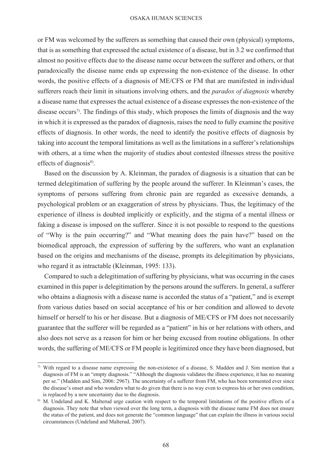or FM was welcomed by the sufferers as something that caused their own (physical) symptoms, that is as something that expressed the actual existence of a disease, but in 3.2 we confirmed that almost no positive effects due to the disease name occur between the sufferer and others, or that paradoxically the disease name ends up expressing the non-existence of the disease. In other words, the positive effects of a diagnosis of ME/CFS or FM that are manifested in individual sufferers reach their limit in situations involving others, and the *paradox of diagnosis* whereby a disease name that expresses the actual existence of a disease expresses the non-existence of the disease occurs<sup> $\eta$ </sup>. The findings of this study, which proposes the limits of diagnosis and the way in which it is expressed as the paradox of diagnosis, raises the need to fully examine the positive effects of diagnosis. In other words, the need to identify the positive effects of diagnosis by taking into account the temporal limitations as well as the limitations in a sufferer's relationships with others, at a time when the majority of studies about contested illnesses stress the positive effects of diagnosis $8$ ).

Based on the discussion by A. Kleinman, the paradox of diagnosis is a situation that can be termed delegitimation of suffering by the people around the sufferer. In Kleinman's cases, the symptoms of persons suffering from chronic pain are regarded as excessive demands, a psychological problem or an exaggeration of stress by physicians. Thus, the legitimacy of the experience of illness is doubted implicitly or explicitly, and the stigma of a mental illness or faking a disease is imposed on the sufferer. Since it is not possible to respond to the questions of "Why is the pain occurring?" and "What meaning does the pain have?" based on the biomedical approach, the expression of suffering by the sufferers, who want an explanation based on the origins and mechanisms of the disease, prompts its delegitimation by physicians, who regard it as intractable (Kleinman, 1995: 133).

Compared to such a delegitimation of suffering by physicians, what was occurring in the cases examined in this paper is delegitimation by the persons around the sufferers. In general, a sufferer who obtains a diagnosis with a disease name is accorded the status of a "patient," and is exempt from various duties based on social acceptance of his or her condition and allowed to devote himself or herself to his or her disease. But a diagnosis of ME/CFS or FM does not necessarily guarantee that the sufferer will be regarded as a "patient" in his or her relations with others, and also does not serve as a reason for him or her being excused from routine obligations. In other words, the suffering of ME/CFS or FM people is legitimized once they have been diagnosed, but

<sup>7)</sup> With regard to a disease name expressing the non-existence of a disease, S. Madden and J. Sim mention that a diagnosis of FM is an "empty diagnosis." "Although the diagnosis validates the illness experience, it has no meaning per se." (Madden and Sim, 2006: 2967). The uncertainty of a sufferer from FM, who has been tormented ever since the disease's onset and who wonders what to do given that there is no way even to express his or her own condition, is replaced by a new uncertainty due to the diagnosis.

<sup>8)</sup> M. Undeland and K. Malterud urge caution with respect to the temporal limitations of the positive effects of a diagnosis. They note that when viewed over the long term, a diagnosis with the disease name FM does not ensure the status of the patient, and does not generate the "common language" that can explain the illness in various social circumstances (Undeland and Malterud, 2007).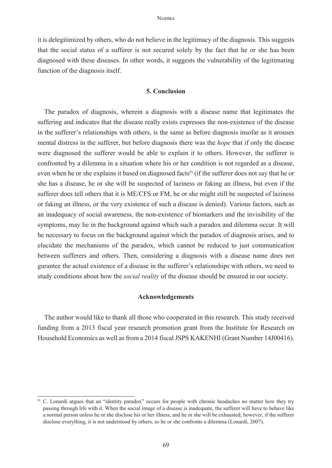it is delegitimized by others, who do not believe in the legitimacy of the diagnosis. This suggests that the social status of a sufferer is not secured solely by the fact that he or she has been diagnosed with these diseases. In other words, it suggests the vulnerability of the legitimating function of the diagnosis itself.

### **5. Conclusion**

The paradox of diagnosis, wherein a diagnosis with a disease name that legitimates the suffering and indicates that the disease really exists expresses the non-existence of the disease in the sufferer's relationships with others, is the same as before diagnosis insofar as it arouses mental distress in the sufferer, but before diagnosis there was the *hope* that if only the disease were diagnosed the sufferer would be able to explain it to others. However, the sufferer is confronted by a dilemma in a situation where his or her condition is not regarded as a disease, even when he or she explains it based on diagnosed facts<sup>9</sup> (if the sufferer does not say that he or she has a disease, he or she will be suspected of laziness or faking an illness, but even if the sufferer does tell others that it is ME/CFS or FM, he or she might still be suspected of laziness or faking an illness, or the very existence of such a disease is denied). Various factors, such as an inadequacy of social awareness, the non-existence of biomarkers and the invisibility of the symptoms, may lie in the background against which such a paradox and dilemma occur. It will be necessary to focus on the background against which the paradox of diagnosis arises, and to elucidate the mechanisms of the paradox, which cannot be reduced to just communication between sufferers and others. Then, considering a diagnosis with a disease name does not gurantee the actual existence of a disease in the sufferer's relationships with others, we need to study conditions about how the *social reality* of the disease should be ensured in our society.

### **Acknowledgements**

The author would like to thank all those who cooperated in this research. This study received funding from a 2013 fiscal year research promotion grant from the Institute for Research on Household Economics as well as from a 2014 fiscal JSPS KAKENHI (Grant Number 14J00416).

<sup>9)</sup> C. Lonardi argues that an "identity paradox" occurs for people with chronic headaches no matter how they try passing through life with it. When the social image of a disease is inadequate, the sufferer will have to behave like a normal person unless he or she disclose his or her illness, and he or she will be exhausted; however, if the sufferer disclose everything, it is not understood by others, so he or she confronts a dilemma (Lonardi, 2007).